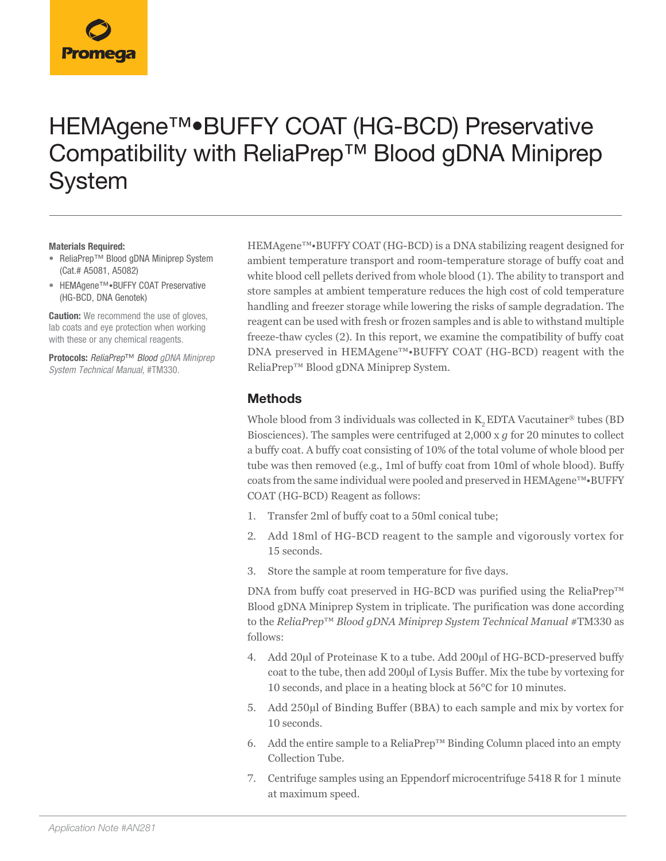# HEMAgene™•BUFFY COAT (HG-BCD) Preservative Compatibility with ReliaPrep™ Blood gDNA Miniprep System

#### **Materials Required:**

- ReliaPrep™ Blood gDNA Miniprep System (Cat.# A5081, A5082)
- HEMAgene™•BUFFY COAT Preservative (HG-BCD, DNA Genotek)

**Caution:** We recommend the use of gloves, lab coats and eye protection when working with these or any chemical reagents.

**Protocols:** *ReliaPrep*™ *Blood gDNA Miniprep System Technical Manual,* #TM330.

HEMAgene™•BUFFY COAT (HG-BCD) is a DNA stabilizing reagent designed for ambient temperature transport and room-temperature storage of buffy coat and white blood cell pellets derived from whole blood (1). The ability to transport and store samples at ambient temperature reduces the high cost of cold temperature handling and freezer storage while lowering the risks of sample degradation. The reagent can be used with fresh or frozen samples and is able to withstand multiple freeze-thaw cycles (2). In this report, we examine the compatibility of buffy coat DNA preserved in HEMAgene™•BUFFY COAT (HG-BCD) reagent with the ReliaPrep™ Blood gDNA Miniprep System.

### **Methods**

Whole blood from 3 individuals was collected in  $K_2$  EDTA Vacutainer® tubes (BD Biosciences). The samples were centrifuged at 2,000 x *g* for 20 minutes to collect a buffy coat. A buffy coat consisting of 10% of the total volume of whole blood per tube was then removed (e.g., 1ml of buffy coat from 10ml of whole blood). Buffy coats from the same individual were pooled and preserved in HEMAgene™•BUFFY COAT (HG-BCD) Reagent as follows:

- 1. Transfer 2ml of buffy coat to a 50ml conical tube;
- 2. Add 18ml of HG-BCD reagent to the sample and vigorously vortex for 15 seconds.
- 3. Store the sample at room temperature for five days.

DNA from buffy coat preserved in HG-BCD was purified using the ReliaPrep™ Blood gDNA Miniprep System in triplicate. The purification was done according to the *ReliaPrep*™ *Blood gDNA Miniprep System Technical Manual* #TM330 as follows:

- 4. Add 20µl of Proteinase K to a tube. Add 200µl of HG-BCD-preserved buffy coat to the tube, then add 200µl of Lysis Buffer. Mix the tube by vortexing for 10 seconds, and place in a heating block at 56°C for 10 minutes.
- 5. Add 250µl of Binding Buffer (BBA) to each sample and mix by vortex for 10 seconds.
- 6. Add the entire sample to a ReliaPrep™ Binding Column placed into an empty Collection Tube.
- 7. Centrifuge samples using an Eppendorf microcentrifuge 5418 R for 1 minute at maximum speed.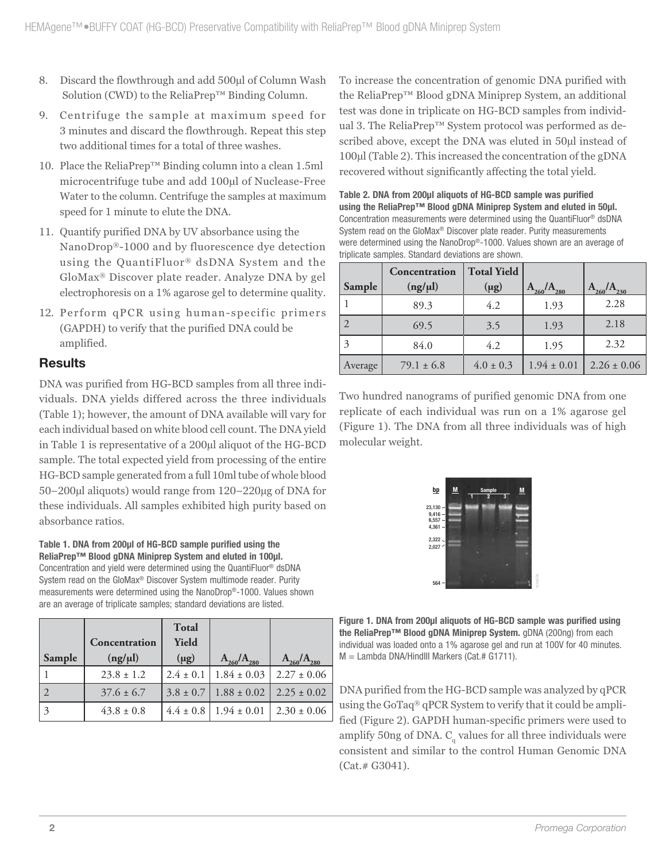- 8. Discard the flowthrough and add 500µl of Column Wash Solution (CWD) to the ReliaPrep™ Binding Column.
- 9. Centrifuge the sample at maximum speed for 3 minutes and discard the flowthrough. Repeat this step two additional times for a total of three washes.
- 10. Place the ReliaPrep™ Binding column into a clean 1.5ml microcentrifuge tube and add 100µl of Nuclease-Free Water to the column. Centrifuge the samples at maximum speed for 1 minute to elute the DNA.
- 11. Quantify purified DNA by UV absorbance using the NanoDrop®-1000 and by fluorescence dye detection using the QuantiFluor® dsDNA System and the GloMax® Discover plate reader. Analyze DNA by gel electrophoresis on a 1% agarose gel to determine quality.
- 12. Perform qPCR using human-specific primers (GAPDH) to verify that the purified DNA could be amplified.

# **Results**

DNA was purified from HG-BCD samples from all three individuals. DNA yields differed across the three individuals (Table 1); however, the amount of DNA available will vary for each individual based on white blood cell count. The DNA yield in Table 1 is representative of a 200µl aliquot of the HG-BCD sample. The total expected yield from processing of the entire HG-BCD sample generated from a full 10ml tube of whole blood 50–200µl aliquots) would range from 120–220µg of DNA for these individuals. All samples exhibited high purity based on absorbance ratios.

**Table 1. DNA from 200µl of HG-BCD sample purified using the ReliaPrep™ Blood gDNA Miniprep System and eluted in 100µl.**  Concentration and yield were determined using the QuantiFluor® dsDNA

System read on the GloMax® Discover System multimode reader. Purity measurements were determined using the NanoDrop®-1000. Values shown are an average of triplicate samples; standard deviations are listed.

|        | Concentration  | <b>Total</b><br>Yield |                   |                   |
|--------|----------------|-----------------------|-------------------|-------------------|
| Sample | (ng/µl)        | $(\mu g)$             | $A_{260}/A_{280}$ | $A_{260}/A_{280}$ |
|        | $23.8 \pm 1.2$ | $2.4 \pm 0.1$         | $1.84 \pm 0.03$   | $2.27 \pm 0.06$   |
|        | $37.6 \pm 6.7$ | $3.8 \pm 0.7$         | $1.88 \pm 0.02$   | $2.25 \pm 0.02$   |
|        | $43.8 \pm 0.8$ | $4.4 \pm 0.8$         | $1.94 \pm 0.01$   | $2.30 \pm 0.06$   |

To increase the concentration of genomic DNA purified with the ReliaPrep™ Blood gDNA Miniprep System, an additional test was done in triplicate on HG-BCD samples from individual 3. The ReliaPrep™ System protocol was performed as described above, except the DNA was eluted in 50µl instead of 100µl (Table 2). This increased the concentration of the gDNA recovered without significantly affecting the total yield.

**Table 2. DNA from 200µl aliquots of HG-BCD sample was purified using the ReliaPrep™ Blood gDNA Miniprep System and eluted in 50µl.**  Concentration measurements were determined using the QuantiFluor® dsDNA System read on the GloMax® Discover plate reader. Purity measurements were determined using the NanoDrop®-1000. Values shown are an average of triplicate samples. Standard deviations are shown.

|         | Concentration  | <b>Total Yield</b> |                 |                 |
|---------|----------------|--------------------|-----------------|-----------------|
| Sample  | (ng/µl)        | $(\mu g)$          | 260<br>280      | $A_{230}$       |
|         | 89.3           | 4.2                | 1.93            | 2.28            |
|         | 69.5           | 3.5                | 1.93            | 2.18            |
|         | 84.0           | 4.2                | 1.95            | 2.32            |
| Average | $79.1 \pm 6.8$ | $4.0 \pm 0.3$      | $1.94 \pm 0.01$ | $2.26 \pm 0.06$ |

Two hundred nanograms of purified genomic DNA from one replicate of each individual was run on a 1% agarose gel (Figure 1). The DNA from all three individuals was of high molecular weight.



**Figure 1. DNA from 200µl aliquots of HG-BCD sample was purified using the ReliaPrep™ Blood gDNA Miniprep System.** gDNA (200ng) from each individual was loaded onto a 1% agarose gel and run at 100V for 40 minutes. M = Lambda DNA/HindIII Markers (Cat.# G1711).

DNA purified from the HG-BCD sample was analyzed by qPCR using the GoTaq® qPCR System to verify that it could be amplified (Figure 2). GAPDH human-specific primers were used to amplify 50ng of DNA.  $\text{C} _{_{\mathrm{q}}}$  values for all three individuals were consistent and similar to the control Human Genomic DNA (Cat.# G3041).